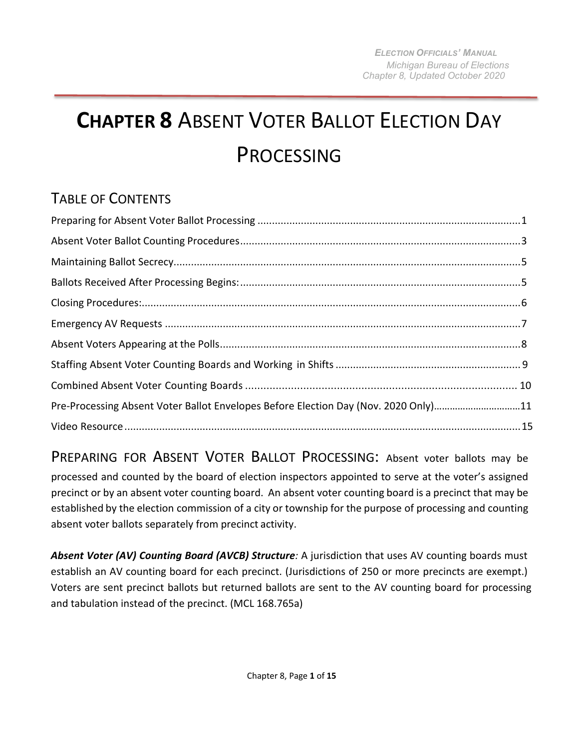# **CHAPTER 8** ABSENT VOTER BALLOT ELECTION DAY PROCESSING

# TABLE OF CONTENTS

| Pre-Processing Absent Voter Ballot Envelopes Before Election Day (Nov. 2020 Only)11 |  |
|-------------------------------------------------------------------------------------|--|
|                                                                                     |  |

<span id="page-0-0"></span>PREPARING FOR ABSENT VOTER BALLOT PROCESSING: Absent voter ballots may be processed and counted by the board of election inspectors appointed to serve at the voter's assigned precinct or by an absent voter counting board. An absent voter counting board is a precinct that may be established by the election commission of a city or township for the purpose of processing and counting absent voter ballots separately from precinct activity.

Absent Voter (AV) Counting Board (AVCB) Structure: A jurisdiction that uses AV counting boards must establish an AV counting board for each precinct. (Jurisdictions of 250 or more precincts are exempt.) Voters are sent precinct ballots but returned ballots are sent to the AV counting board for processing and tabulation instead of the precinct. (MCL 168.765a)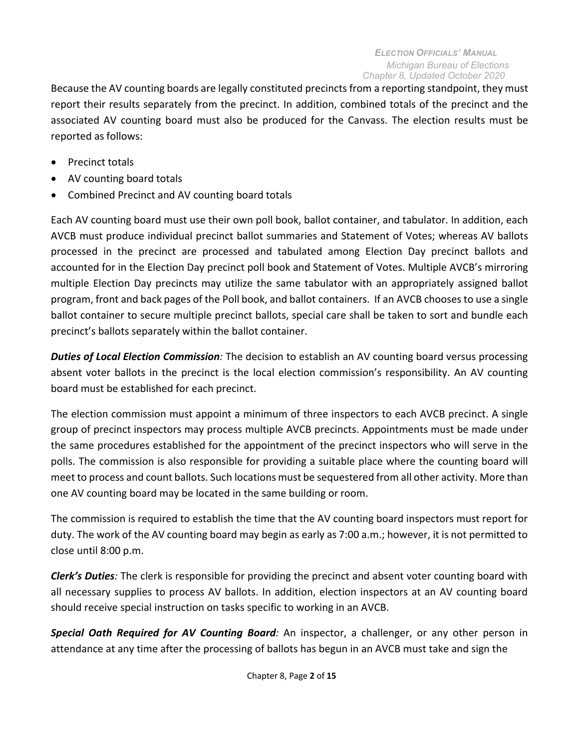Because the AV counting boards are legally constituted precincts from a reporting standpoint, they must report their results separately from the precinct. In addition, combined totals of the precinct and the associated AV counting board must also be produced for the Canvass. The election results must be reported as follows:

- Precinct totals
- AV counting board totals
- Combined Precinct and AV counting board totals

Each AV counting board must use their own poll book, ballot container, and tabulator. In addition, each AVCB must produce individual precinct ballot summaries and Statement of Votes; whereas AV ballots processed in the precinct are processed and tabulated among Election Day precinct ballots and accounted for in the Election Day precinct poll book and Statement of Votes. Multiple AVCB's mirroring multiple Election Day precincts may utilize the same tabulator with an appropriately assigned ballot program, front and back pages of the Poll book, and ballot containers. If an AVCB choosesto use a single ballot container to secure multiple precinct ballots, special care shall be taken to sort and bundle each precinct's ballots separately within the ballot container.

*Duties of Local Election Commission:* The decision to establish an AV counting board versus processing absent voter ballots in the precinct is the local election commission's responsibility. An AV counting board must be established for each precinct.

The election commission must appoint a minimum of three inspectors to each AVCB precinct. A single group of precinct inspectors may process multiple AVCB precincts. Appointments must be made under the same procedures established for the appointment of the precinct inspectors who will serve in the polls. The commission is also responsible for providing a suitable place where the counting board will meet to process and count ballots. Such locations must be sequestered from all other activity. More than one AV counting board may be located in the same building or room.

The commission is required to establish the time that the AV counting board inspectors must report for duty. The work of the AV counting board may begin as early as 7:00 a.m.; however, it is not permitted to close until 8:00 p.m.

*Clerk's Duties:* The clerk is responsible for providing the precinct and absent voter counting board with all necessary supplies to process AV ballots. In addition, election inspectors at an AV counting board should receive special instruction on tasks specific to working in an AVCB.

*Special Oath Required for AV Counting Board:* An inspector, a challenger, or any other person in attendance at any time after the processing of ballots has begun in an AVCB must take and sign the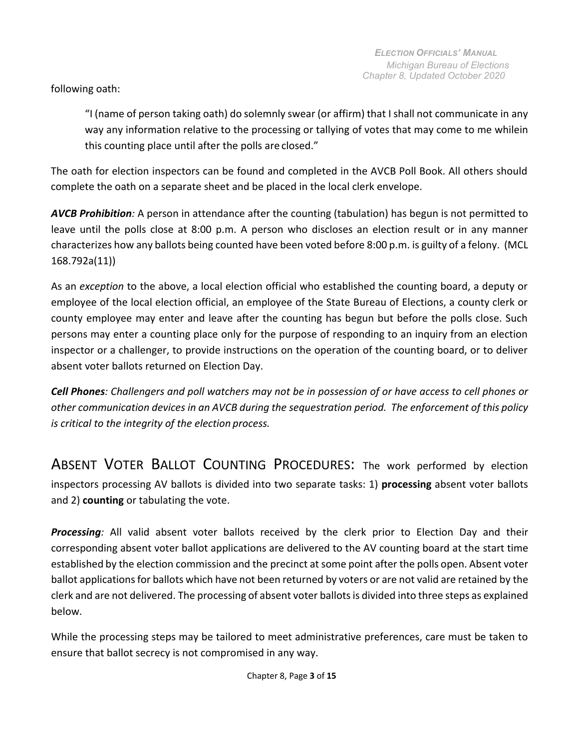following oath:

"I (name of person taking oath) do solemnly swear (or affirm) that I shall not communicate in any way any information relative to the processing or tallying of votes that may come to me whilein this counting place until after the polls are closed."

The oath for election inspectors can be found and completed in the AVCB Poll Book. All others should complete the oath on a separate sheet and be placed in the local clerk envelope.

*AVCB Prohibition:* A person in attendance after the counting (tabulation) has begun is not permitted to leave until the polls close at 8:00 p.m. A person who discloses an election result or in any manner characterizes how any ballots being counted have been voted before 8:00 p.m. is guilty of a felony. (MCL 168.792a(11))

As an *exception* to the above, a local election official who established the counting board, a deputy or employee of the local election official, an employee of the State Bureau of Elections, a county clerk or county employee may enter and leave after the counting has begun but before the polls close. Such persons may enter a counting place only for the purpose of responding to an inquiry from an election inspector or a challenger, to provide instructions on the operation of the counting board, or to deliver absent voter ballots returned on Election Day.

*Cell Phones: Challengers and poll watchers may not be in possession of or have access to cell phones or other communication devices in an AVCB during the sequestration period. The enforcement of this policy is critical to the integrity of the election process.*

<span id="page-2-0"></span>ABSENT VOTER BALLOT COUNTING PROCEDURES: The work performed by election inspectors processing AV ballots is divided into two separate tasks: 1) **processing** absent voter ballots and 2) **counting** or tabulating the vote.

*Processing:* All valid absent voter ballots received by the clerk prior to Election Day and their corresponding absent voter ballot applications are delivered to the AV counting board at the start time established by the election commission and the precinct at some point after the polls open. Absent voter ballot applications for ballots which have not been returned by voters or are not valid are retained by the clerk and are not delivered. The processing of absent voter ballotsis divided into three steps as explained below.

While the processing steps may be tailored to meet administrative preferences, care must be taken to ensure that ballot secrecy is not compromised in any way.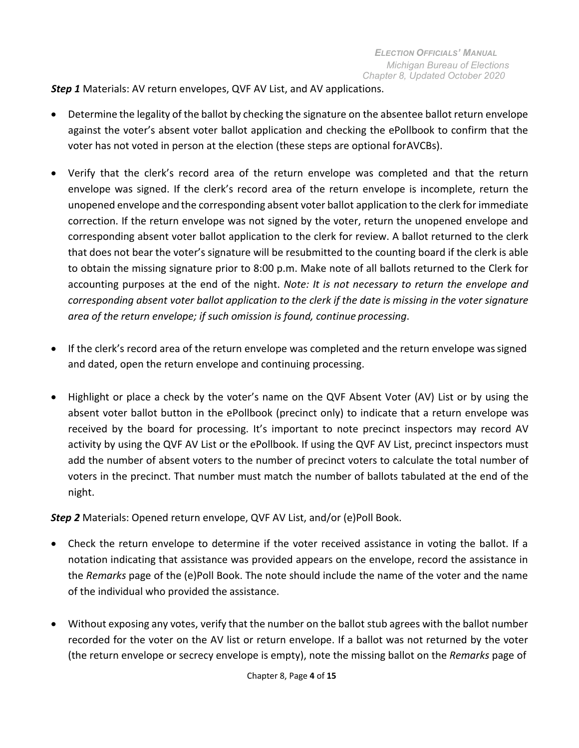**Step 1** Materials: AV return envelopes, QVF AV List, and AV applications.

- Determine the legality of the ballot by checking the signature on the absentee ballot return envelope against the voter's absent voter ballot application and checking the ePollbook to confirm that the voter has not voted in person at the election (these steps are optional forAVCBs).
- Verify that the clerk's record area of the return envelope was completed and that the return envelope was signed. If the clerk's record area of the return envelope is incomplete, return the unopened envelope and the corresponding absent voter ballot application to the clerk for immediate correction. If the return envelope was not signed by the voter, return the unopened envelope and corresponding absent voter ballot application to the clerk for review. A ballot returned to the clerk that does not bear the voter's signature will be resubmitted to the counting board if the clerk is able to obtain the missing signature prior to 8:00 p.m. Make note of all ballots returned to the Clerk for accounting purposes at the end of the night. *Note: It is not necessary to return the envelope and corresponding absent voter ballot application to the clerk if the date is missing in the voter signature area of the return envelope; if such omission is found, continue processing*.
- If the clerk's record area of the return envelope was completed and the return envelope wassigned and dated, open the return envelope and continuing processing.
- Highlight or place a check by the voter's name on the QVF Absent Voter (AV) List or by using the absent voter ballot button in the ePollbook (precinct only) to indicate that a return envelope was received by the board for processing. It's important to note precinct inspectors may record AV activity by using the QVF AV List or the ePollbook. If using the QVF AV List, precinct inspectors must add the number of absent voters to the number of precinct voters to calculate the total number of voters in the precinct. That number must match the number of ballots tabulated at the end of the night.

*Step 2* Materials: Opened return envelope, QVF AV List, and/or (e)Poll Book.

- Check the return envelope to determine if the voter received assistance in voting the ballot. If a notation indicating that assistance was provided appears on the envelope, record the assistance in the *Remarks* page of the (e)Poll Book. The note should include the name of the voter and the name of the individual who provided the assistance.
- Without exposing any votes, verify that the number on the ballot stub agrees with the ballot number recorded for the voter on the AV list or return envelope. If a ballot was not returned by the voter (the return envelope or secrecy envelope is empty), note the missing ballot on the *Remarks* page of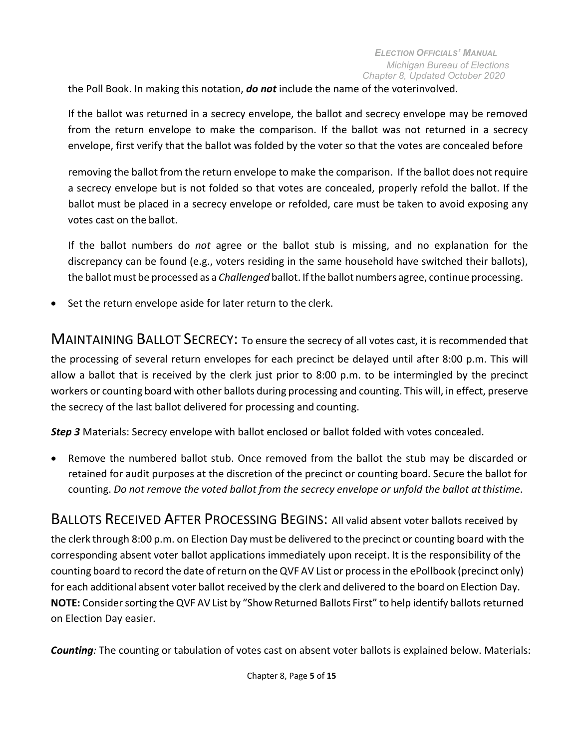the Poll Book. In making this notation, *do not* include the name of the voterinvolved.

If the ballot was returned in a secrecy envelope, the ballot and secrecy envelope may be removed from the return envelope to make the comparison. If the ballot was not returned in a secrecy envelope, first verify that the ballot was folded by the voter so that the votes are concealed before

removing the ballot from the return envelope to make the comparison. If the ballot does not require a secrecy envelope but is not folded so that votes are concealed, properly refold the ballot. If the ballot must be placed in a secrecy envelope or refolded, care must be taken to avoid exposing any votes cast on the ballot.

If the ballot numbers do *not* agree or the ballot stub is missing, and no explanation for the discrepancy can be found (e.g., voters residing in the same household have switched their ballots), the ballot must be processed as a *Challenged* ballot. If the ballot numbers agree, continue processing.

Set the return envelope aside for later return to the clerk.

<span id="page-4-0"></span>MAINTAINING BALLOT SECRECY: To ensure the secrecy of all votes cast, it is recommended that the processing of several return envelopes for each precinct be delayed until after 8:00 p.m. This will allow a ballot that is received by the clerk just prior to 8:00 p.m. to be intermingled by the precinct workers or counting board with other ballots during processing and counting. This will, in effect, preserve the secrecy of the last ballot delivered for processing and counting.

*Step 3* Materials: Secrecy envelope with ballot enclosed or ballot folded with votes concealed.

• Remove the numbered ballot stub. Once removed from the ballot the stub may be discarded or retained for audit purposes at the discretion of the precinct or counting board. Secure the ballot for counting. *Do not remove the voted ballot from the secrecy envelope or unfold the ballot atthistime*.

<span id="page-4-1"></span>BALLOTS RECEIVED AFTER PROCESSING BEGINS: All valid absent voter ballots received by the clerk through 8:00 p.m. on Election Day must be delivered to the precinct or counting board with the corresponding absent voter ballot applications immediately upon receipt. It is the responsibility of the counting board to record the date of return on the QVF AV List or process in the ePollbook (precinct only) for each additional absent voter ballot received by the clerk and delivered to the board on Election Day. NOTE: Consider sorting the QVF AV List by "Show Returned Ballots First" to help identify ballots returned on Election Day easier.

*Counting:* The counting or tabulation of votes cast on absent voter ballots is explained below. Materials: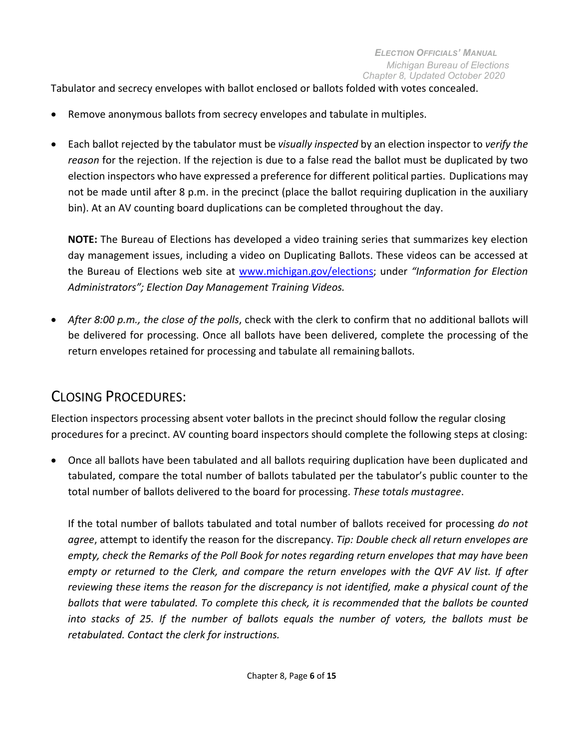Tabulator and secrecy envelopes with ballot enclosed or ballots folded with votes concealed.

- Remove anonymous ballots from secrecy envelopes and tabulate in multiples.
- Each ballot rejected by the tabulator must be *visually inspected* by an election inspector to *verify the reason* for the rejection. If the rejection is due to a false read the ballot must be duplicated by two election inspectors who have expressed a preference for different political parties. Duplications may not be made until after 8 p.m. in the precinct (place the ballot requiring duplication in the auxiliary bin). At an AV counting board duplications can be completed throughout the day.

**NOTE:** The Bureau of Elections has developed a video training series that summarizes key election day management issues, including a video on Duplicating Ballots. These videos can be accessed at the Bureau of Elections web site at [www.michigan.gov/elections;](http://www.michigan.gov/elections) under *"Information for Election Administrators"; Election Day Management Training Videos.*

• *After 8:00 p.m., the close of the polls*, check with the clerk to confirm that no additional ballots will be delivered for processing. Once all ballots have been delivered, complete the processing of the return envelopes retained for processing and tabulate all remaining ballots.

## <span id="page-5-0"></span>CLOSING PROCEDURES:

Election inspectors processing absent voter ballots in the precinct should follow the regular closing procedures for a precinct. AV counting board inspectors should complete the following steps at closing:

• Once all ballots have been tabulated and all ballots requiring duplication have been duplicated and tabulated, compare the total number of ballots tabulated per the tabulator's public counter to the total number of ballots delivered to the board for processing. *These totals mustagree*.

If the total number of ballots tabulated and total number of ballots received for processing *do not agree*, attempt to identify the reason for the discrepancy. *Tip: Double check all return envelopes are empty, check the Remarks of the Poll Book for notes regarding return envelopes that may have been empty or returned to the Clerk, and compare the return envelopes with the QVF AV list. If after reviewing these items the reason for the discrepancy is not identified, make a physical count of the ballots that were tabulated. To complete this check, it is recommended that the ballots be counted into stacks of 25. If the number of ballots equals the number of voters, the ballots must be retabulated. Contact the clerk for instructions.*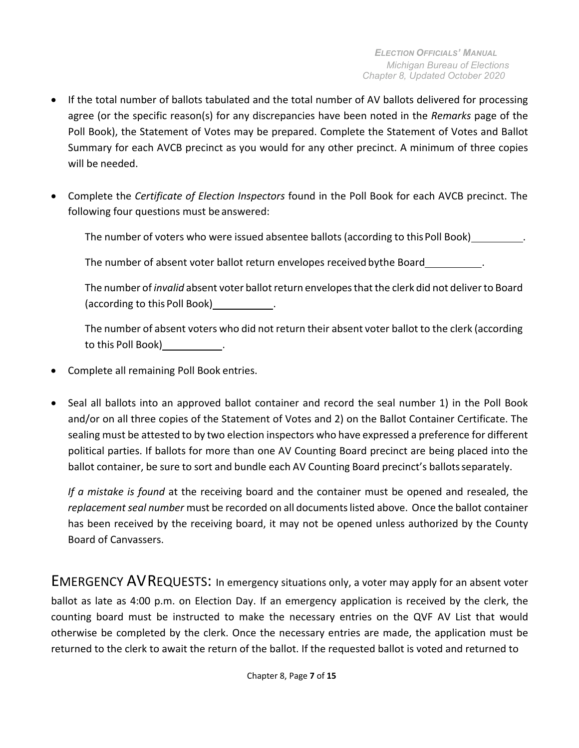- If the total number of ballots tabulated and the total number of AV ballots delivered for processing agree (or the specific reason(s) for any discrepancies have been noted in the *Remarks* page of the Poll Book), the Statement of Votes may be prepared. Complete the Statement of Votes and Ballot Summary for each AVCB precinct as you would for any other precinct. A minimum of three copies will be needed.
- Complete the *Certificate of Election Inspectors* found in the Poll Book for each AVCB precinct. The following four questions must be answered:

The number of voters who were issued absentee ballots (according to this Poll Book)\_\_\_\_\_\_\_\_\_\_.

The number of absent voter ballot return envelopes received bythe Board ...

The number of *invalid* absent voter ballot return envelopesthatthe clerk did not deliverto Board (according to this Poll Book) .

The number of absent voters who did not return their absent voter ballot to the clerk (according to this Poll Book) .

- Complete all remaining Poll Book entries.
- Seal all ballots into an approved ballot container and record the seal number 1) in the Poll Book and/or on all three copies of the Statement of Votes and 2) on the Ballot Container Certificate. The sealing must be attested to by two election inspectors who have expressed a preference for different political parties. If ballots for more than one AV Counting Board precinct are being placed into the ballot container, be sure to sort and bundle each AV Counting Board precinct's ballotsseparately.

*If a mistake is found* at the receiving board and the container must be opened and resealed, the *replacement seal number* must be recorded on all documentslisted above. Once the ballot container has been received by the receiving board, it may not be opened unless authorized by the County Board of Canvassers.

<span id="page-6-0"></span>**EMERGENCY AV REQUESTS:** In emergency situations only, a voter may apply for an absent voter ballot as late as 4:00 p.m. on Election Day. If an emergency application is received by the clerk, the counting board must be instructed to make the necessary entries on the QVF AV List that would otherwise be completed by the clerk. Once the necessary entries are made, the application must be returned to the clerk to await the return of the ballot. If the requested ballot is voted and returned to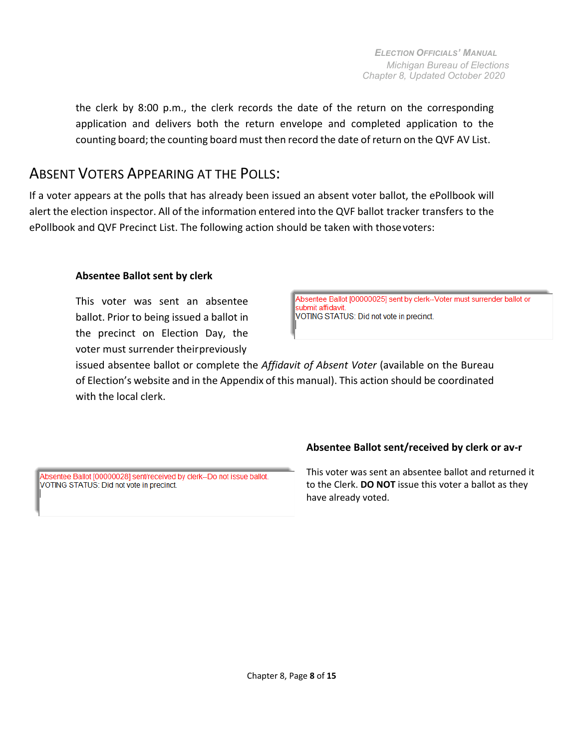*ELECTION OFFICIALS' MANUAL Michigan Bureau of Elections Chapter 8, Updated October 2020*

the clerk by 8:00 p.m., the clerk records the date of the return on the corresponding application and delivers both the return envelope and completed application to the counting board; the counting board must then record the date of return on the QVF AV List.

## <span id="page-7-0"></span>ABSENT VOTERS APPEARING AT THE POLLS:

If a voter appears at the polls that has already been issued an absent voter ballot, the ePollbook will alert the election inspector. All of the information entered into the QVF ballot tracker transfers to the ePollbook and QVF Precinct List. The following action should be taken with thosevoters:

#### **Absentee Ballot sent by clerk**

This voter was sent an absentee ballot. Prior to being issued a ballot in the precinct on Election Day, the voter must surrender theirpreviously

Absentee Ballot [00000025] sent by clerk--Voter must surrender ballot or submit affidavit VOTING STATUS: Did not vote in precinct.

issued absentee ballot or complete the *Affidavit of Absent Voter* (available on the Bureau of Election's website and in the Appendix of this manual). This action should be coordinated with the local clerk.

Absentee Ballot [00000028] sent/received by clerk--Do not issue ballot. VOTING STATUS: Did not vote in precinct.

#### **Absentee Ballot sent/received by clerk or av-r**

This voter was sent an absentee ballot and returned it to the Clerk. **DO NOT** issue this voter a ballot as they have already voted.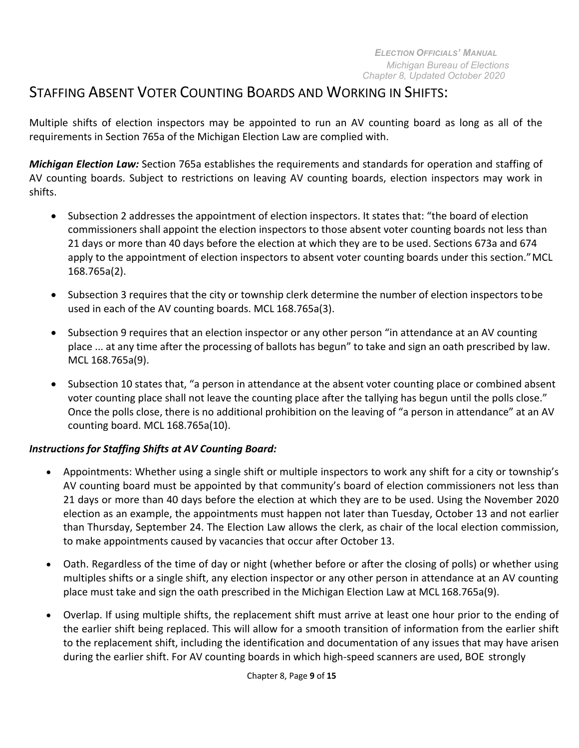# STAFFING ABSENT VOTER COUNTING BOARDS AND WORKING IN SHIFTS:

Multiple shifts of election inspectors may be appointed to run an AV counting board as long as all of the requirements in Section 765a of the Michigan Election Law are complied with.

*Michigan Election Law:* Section 765a establishes the requirements and standards for operation and staffing of AV counting boards. Subject to restrictions on leaving AV counting boards, election inspectors may work in shifts.

- Subsection 2 addresses the appointment of election inspectors. It states that: "the board of election commissioners shall appoint the election inspectors to those absent voter counting boards not less than 21 days or more than 40 days before the election at which they are to be used. Sections 673a and 674 apply to the appointment of election inspectors to absent voter counting boards under this section."MCL 168.765a(2).
- Subsection 3 requires that the city or township clerk determine the number of election inspectors tobe used in each of the AV counting boards. MCL 168.765a(3).
- Subsection 9 requires that an election inspector or any other person "in attendance at an AV counting place ... at any time after the processing of ballots has begun" to take and sign an oath prescribed by law. MCL 168.765a(9).
- Subsection 10 states that, "a person in attendance at the absent voter counting place or combined absent voter counting place shall not leave the counting place after the tallying has begun until the polls close." Once the polls close, there is no additional prohibition on the leaving of "a person in attendance" at an AV counting board. MCL 168.765a(10).

### *Instructions for Staffing Shifts at AV Counting Board:*

- Appointments: Whether using a single shift or multiple inspectors to work any shift for a city or township's AV counting board must be appointed by that community's board of election commissioners not less than 21 days or more than 40 days before the election at which they are to be used. Using the November 2020 election as an example, the appointments must happen not later than Tuesday, October 13 and not earlier than Thursday, September 24. The Election Law allows the clerk, as chair of the local election commission, to make appointments caused by vacancies that occur after October 13.
- Oath. Regardless of the time of day or night (whether before or after the closing of polls) or whether using multiples shifts or a single shift, any election inspector or any other person in attendance at an AV counting place must take and sign the oath prescribed in the Michigan Election Law at MCL 168.765a(9).
- Overlap. If using multiple shifts, the replacement shift must arrive at least one hour prior to the ending of the earlier shift being replaced. This will allow for a smooth transition of information from the earlier shift to the replacement shift, including the identification and documentation of any issues that may have arisen during the earlier shift. For AV counting boards in which high-speed scanners are used, BOE strongly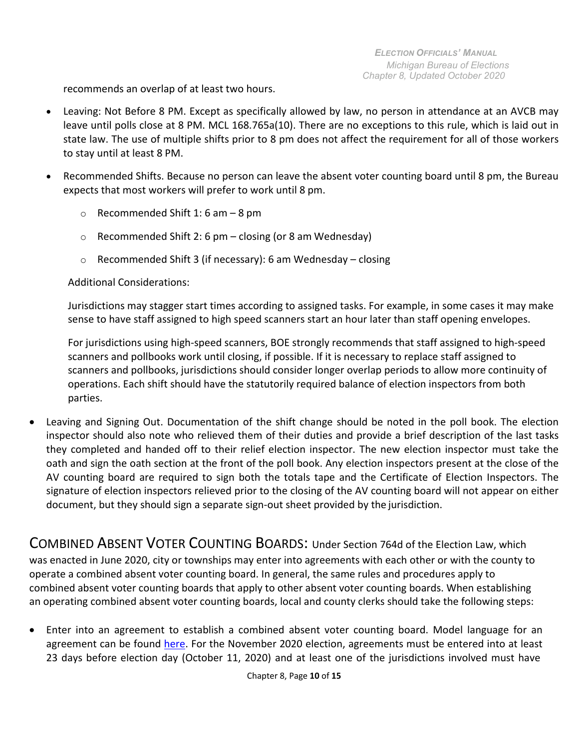recommends an overlap of at least two hours.

- Leaving: Not Before 8 PM. Except as specifically allowed by law, no person in attendance at an AVCB may leave until polls close at 8 PM. MCL 168.765a(10). There are no exceptions to this rule, which is laid out in state law. The use of multiple shifts prior to 8 pm does not affect the requirement for all of those workers to stay until at least 8 PM.
- Recommended Shifts. Because no person can leave the absent voter counting board until 8 pm, the Bureau expects that most workers will prefer to work until 8 pm.
	- o Recommended Shift 1: 6 am 8 pm
	- $\circ$  Recommended Shift 2: 6 pm closing (or 8 am Wednesday)
	- $\circ$  Recommended Shift 3 (if necessary): 6 am Wednesday closing

Additional Considerations:

Jurisdictions may stagger start times according to assigned tasks. For example, in some cases it may make sense to have staff assigned to high speed scanners start an hour later than staff opening envelopes.

For jurisdictions using high-speed scanners, BOE strongly recommends that staff assigned to high-speed scanners and pollbooks work until closing, if possible. If it is necessary to replace staff assigned to scanners and pollbooks, jurisdictions should consider longer overlap periods to allow more continuity of operations. Each shift should have the statutorily required balance of election inspectors from both parties.

• Leaving and Signing Out. Documentation of the shift change should be noted in the poll book. The election inspector should also note who relieved them of their duties and provide a brief description of the last tasks they completed and handed off to their relief election inspector. The new election inspector must take the oath and sign the oath section at the front of the poll book. Any election inspectors present at the close of the AV counting board are required to sign both the totals tape and the Certificate of Election Inspectors. The signature of election inspectors relieved prior to the closing of the AV counting board will not appear on either document, but they should sign a separate sign-out sheet provided by the jurisdiction.

COMBINED ABSENT VOTER COUNTING BOARDS: Under Section 764d of the Election Law, which was enacted in June 2020, city or townships may enter into agreements with each other or with the county to operate a combined absent voter counting board. In general, the same rules and procedures apply to combined absent voter counting boards that apply to other absent voter counting boards. When establishing an operating combined absent voter counting boards, local and county clerks should take the following steps:

• Enter into an agreement to establish a combined absent voter counting board. Model language for an agreement can be found [here.](https://mielections.csod.com/ui/lms-learning-details/app/material/5efeb893-d754-4472-bea5-4aa059b26408) For the November 2020 election, agreements must be entered into at least 23 days before election day (October 11, 2020) and at least one of the jurisdictions involved must have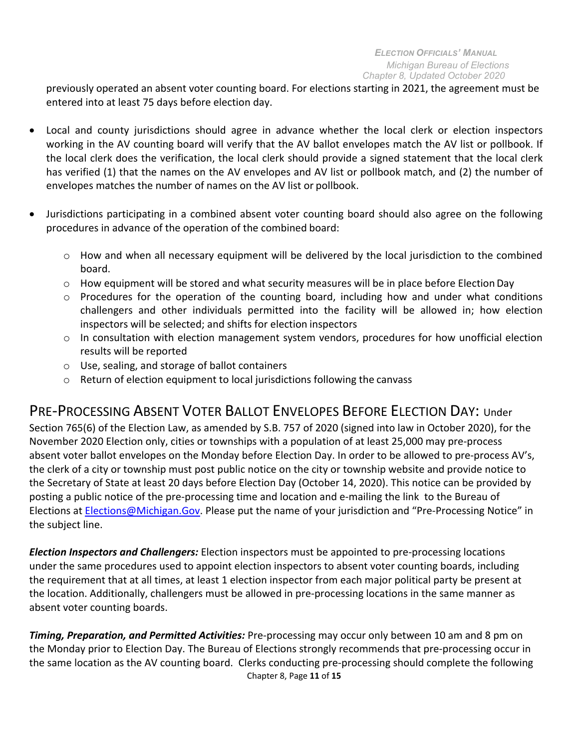previously operated an absent voter counting board. For elections starting in 2021, the agreement must be entered into at least 75 days before election day.

- Local and county jurisdictions should agree in advance whether the local clerk or election inspectors working in the AV counting board will verify that the AV ballot envelopes match the AV list or pollbook. If the local clerk does the verification, the local clerk should provide a signed statement that the local clerk has verified (1) that the names on the AV envelopes and AV list or pollbook match, and (2) the number of envelopes matches the number of names on the AV list or pollbook.
- Jurisdictions participating in a combined absent voter counting board should also agree on the following procedures in advance of the operation of the combined board:
	- $\circ$  How and when all necessary equipment will be delivered by the local jurisdiction to the combined board.
	- $\circ$  How equipment will be stored and what security measures will be in place before Election Day
	- $\circ$  Procedures for the operation of the counting board, including how and under what conditions challengers and other individuals permitted into the facility will be allowed in; how election inspectors will be selected; and shifts for election inspectors
	- $\circ$  In consultation with election management system vendors, procedures for how unofficial election results will be reported
	- o Use, sealing, and storage of ballot containers
	- o Return of election equipment to local jurisdictions following the canvass

## PRE-PROCESSING ABSENT VOTER BALLOT ENVELOPES BEFORE ELECTION DAY: Under

Section 765(6) of the Election Law, as amended by S.B. 757 of 2020 (signed into law in October 2020), for the November 2020 Election only, cities or townships with a population of at least 25,000 may pre-process absent voter ballot envelopes on the Monday before Election Day. In order to be allowed to pre-process AV's, the clerk of a city or township must post public notice on the city or township website and provide notice to the Secretary of State at least 20 days before Election Day (October 14, 2020). This notice can be provided by posting a public notice of the pre-processing time and location and e-mailing the link to the Bureau of Elections at [Elections@Michigan.Gov.](mailto:Elections@Michigan.Gov) Please put the name of your jurisdiction and "Pre-Processing Notice" in the subject line.

*Election Inspectors and Challengers:* Election inspectors must be appointed to pre-processing locations under the same procedures used to appoint election inspectors to absent voter counting boards, including the requirement that at all times, at least 1 election inspector from each major political party be present at the location. Additionally, challengers must be allowed in pre-processing locations in the same manner as absent voter counting boards.

Chapter 8, Page **11** of **15** *Timing, Preparation, and Permitted Activities:* Pre-processing may occur only between 10 am and 8 pm on the Monday prior to Election Day. The Bureau of Elections strongly recommends that pre-processing occur in the same location as the AV counting board. Clerks conducting pre-processing should complete the following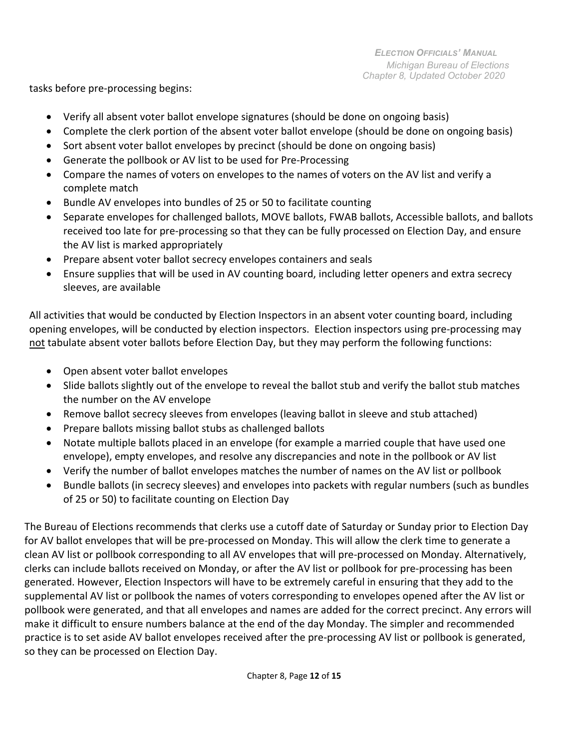tasks before pre-processing begins:

- Verify all absent voter ballot envelope signatures (should be done on ongoing basis)
- Complete the clerk portion of the absent voter ballot envelope (should be done on ongoing basis)
- Sort absent voter ballot envelopes by precinct (should be done on ongoing basis)
- Generate the pollbook or AV list to be used for Pre-Processing
- Compare the names of voters on envelopes to the names of voters on the AV list and verify a complete match
- Bundle AV envelopes into bundles of 25 or 50 to facilitate counting
- Separate envelopes for challenged ballots, MOVE ballots, FWAB ballots, Accessible ballots, and ballots received too late for pre-processing so that they can be fully processed on Election Day, and ensure the AV list is marked appropriately
- Prepare absent voter ballot secrecy envelopes containers and seals
- Ensure supplies that will be used in AV counting board, including letter openers and extra secrecy sleeves, are available

All activities that would be conducted by Election Inspectors in an absent voter counting board, including opening envelopes, will be conducted by election inspectors. Election inspectors using pre-processing may not tabulate absent voter ballots before Election Day, but they may perform the following functions:

- Open absent voter ballot envelopes
- Slide ballots slightly out of the envelope to reveal the ballot stub and verify the ballot stub matches the number on the AV envelope
- Remove ballot secrecy sleeves from envelopes (leaving ballot in sleeve and stub attached)
- Prepare ballots missing ballot stubs as challenged ballots
- Notate multiple ballots placed in an envelope (for example a married couple that have used one envelope), empty envelopes, and resolve any discrepancies and note in the pollbook or AV list
- Verify the number of ballot envelopes matches the number of names on the AV list or pollbook
- Bundle ballots (in secrecy sleeves) and envelopes into packets with regular numbers (such as bundles of 25 or 50) to facilitate counting on Election Day

The Bureau of Elections recommends that clerks use a cutoff date of Saturday or Sunday prior to Election Day for AV ballot envelopes that will be pre-processed on Monday. This will allow the clerk time to generate a clean AV list or pollbook corresponding to all AV envelopes that will pre-processed on Monday. Alternatively, clerks can include ballots received on Monday, or after the AV list or pollbook for pre-processing has been generated. However, Election Inspectors will have to be extremely careful in ensuring that they add to the supplemental AV list or pollbook the names of voters corresponding to envelopes opened after the AV list or pollbook were generated, and that all envelopes and names are added for the correct precinct. Any errors will make it difficult to ensure numbers balance at the end of the day Monday. The simpler and recommended practice is to set aside AV ballot envelopes received after the pre-processing AV list or pollbook is generated, so they can be processed on Election Day.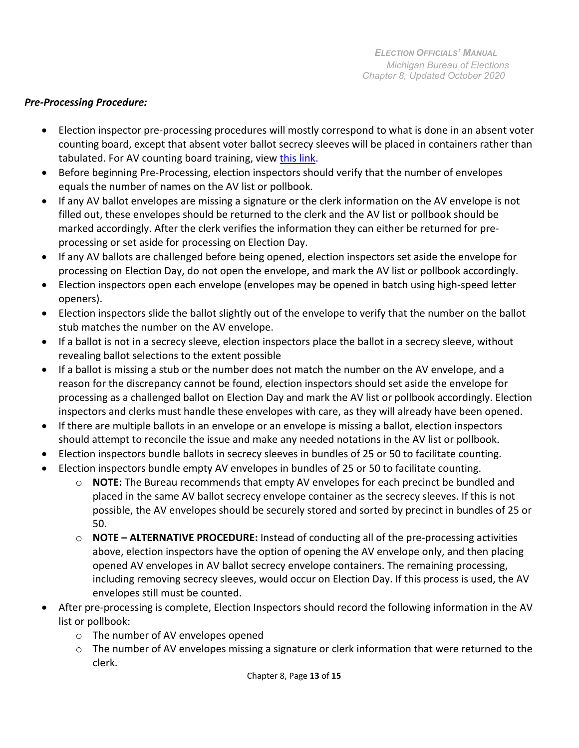#### *Pre-Processing Procedure:*

- Election inspector pre-processing procedures will mostly correspond to what is done in an absent voter counting board, except that absent voter ballot secrecy sleeves will be placed in containers rather than tabulated. For AV counting board training, view [this link.](https://www.youtube.com/watch?v=2EhUddpcDns)
- Before beginning Pre-Processing, election inspectors should verify that the number of envelopes equals the number of names on the AV list or pollbook.
- If any AV ballot envelopes are missing a signature or the clerk information on the AV envelope is not filled out, these envelopes should be returned to the clerk and the AV list or pollbook should be marked accordingly. After the clerk verifies the information they can either be returned for preprocessing or set aside for processing on Election Day.
- If any AV ballots are challenged before being opened, election inspectors set aside the envelope for processing on Election Day, do not open the envelope, and mark the AV list or pollbook accordingly.
- Election inspectors open each envelope (envelopes may be opened in batch using high-speed letter openers).
- Election inspectors slide the ballot slightly out of the envelope to verify that the number on the ballot stub matches the number on the AV envelope.
- If a ballot is not in a secrecy sleeve, election inspectors place the ballot in a secrecy sleeve, without revealing ballot selections to the extent possible
- If a ballot is missing a stub or the number does not match the number on the AV envelope, and a reason for the discrepancy cannot be found, election inspectors should set aside the envelope for processing as a challenged ballot on Election Day and mark the AV list or pollbook accordingly. Election inspectors and clerks must handle these envelopes with care, as they will already have been opened.
- If there are multiple ballots in an envelope or an envelope is missing a ballot, election inspectors should attempt to reconcile the issue and make any needed notations in the AV list or pollbook.
- Election inspectors bundle ballots in secrecy sleeves in bundles of 25 or 50 to facilitate counting.
- Election inspectors bundle empty AV envelopes in bundles of 25 or 50 to facilitate counting.
	- o **NOTE:** The Bureau recommends that empty AV envelopes for each precinct be bundled and placed in the same AV ballot secrecy envelope container as the secrecy sleeves. If this is not possible, the AV envelopes should be securely stored and sorted by precinct in bundles of 25 or 50.
	- o **NOTE – ALTERNATIVE PROCEDURE:** Instead of conducting all of the pre-processing activities above, election inspectors have the option of opening the AV envelope only, and then placing opened AV envelopes in AV ballot secrecy envelope containers. The remaining processing, including removing secrecy sleeves, would occur on Election Day. If this process is used, the AV envelopes still must be counted.
- After pre-processing is complete, Election Inspectors should record the following information in the AV list or pollbook:
	- o The number of AV envelopes opened
	- o The number of AV envelopes missing a signature or clerk information that were returned to the clerk.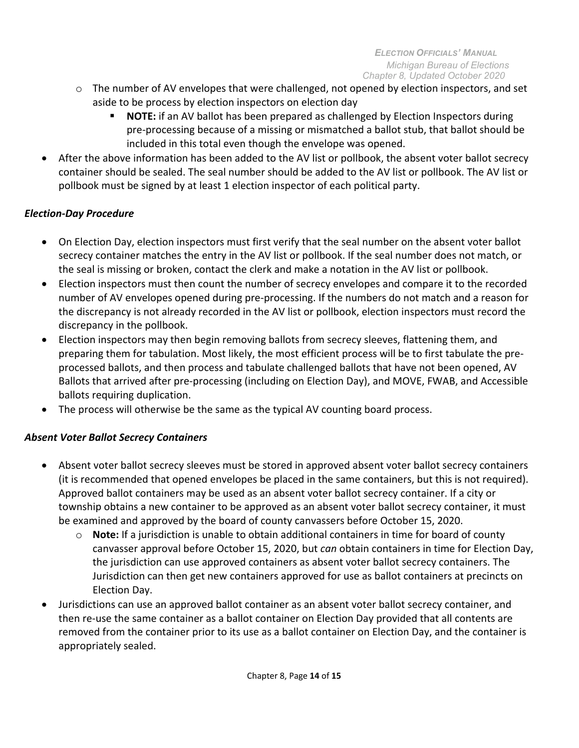- o The number of AV envelopes that were challenged, not opened by election inspectors, and set aside to be process by election inspectors on election day
	- **NOTE:** if an AV ballot has been prepared as challenged by Election Inspectors during pre-processing because of a missing or mismatched a ballot stub, that ballot should be included in this total even though the envelope was opened.
- After the above information has been added to the AV list or pollbook, the absent voter ballot secrecy container should be sealed. The seal number should be added to the AV list or pollbook. The AV list or pollbook must be signed by at least 1 election inspector of each political party.

### *Election-Day Procedure*

- On Election Day, election inspectors must first verify that the seal number on the absent voter ballot secrecy container matches the entry in the AV list or pollbook. If the seal number does not match, or the seal is missing or broken, contact the clerk and make a notation in the AV list or pollbook.
- Election inspectors must then count the number of secrecy envelopes and compare it to the recorded number of AV envelopes opened during pre-processing. If the numbers do not match and a reason for the discrepancy is not already recorded in the AV list or pollbook, election inspectors must record the discrepancy in the pollbook.
- Election inspectors may then begin removing ballots from secrecy sleeves, flattening them, and preparing them for tabulation. Most likely, the most efficient process will be to first tabulate the preprocessed ballots, and then process and tabulate challenged ballots that have not been opened, AV Ballots that arrived after pre-processing (including on Election Day), and MOVE, FWAB, and Accessible ballots requiring duplication.
- The process will otherwise be the same as the typical AV counting board process.

### *Absent Voter Ballot Secrecy Containers*

- Absent voter ballot secrecy sleeves must be stored in approved absent voter ballot secrecy containers (it is recommended that opened envelopes be placed in the same containers, but this is not required). Approved ballot containers may be used as an absent voter ballot secrecy container. If a city or township obtains a new container to be approved as an absent voter ballot secrecy container, it must be examined and approved by the board of county canvassers before October 15, 2020.
	- o **Note:** If a jurisdiction is unable to obtain additional containers in time for board of county canvasser approval before October 15, 2020, but *can* obtain containers in time for Election Day, the jurisdiction can use approved containers as absent voter ballot secrecy containers. The Jurisdiction can then get new containers approved for use as ballot containers at precincts on Election Day.
- Jurisdictions can use an approved ballot container as an absent voter ballot secrecy container, and then re-use the same container as a ballot container on Election Day provided that all contents are removed from the container prior to its use as a ballot container on Election Day, and the container is appropriately sealed.